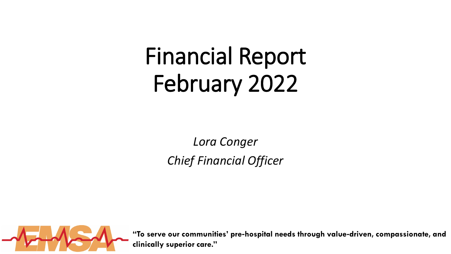## Financial Report February 2022

*Lora Conger Chief Financial Officer*

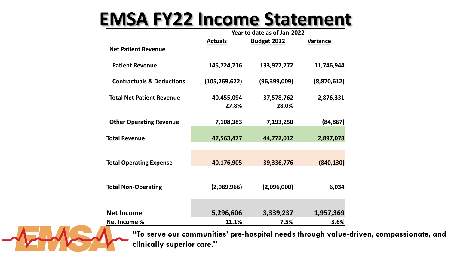## **EMSA FY22 Income Statement**

|                                      | Year to date as of Jan-2022 |                    |                 |  |
|--------------------------------------|-----------------------------|--------------------|-----------------|--|
|                                      | <b>Actuals</b>              | <b>Budget 2022</b> | <b>Variance</b> |  |
| <b>Net Patient Revenue</b>           |                             |                    |                 |  |
| <b>Patient Revenue</b>               | 145,724,716                 | 133,977,772        | 11,746,944      |  |
| <b>Contractuals &amp; Deductions</b> | (105, 269, 622)             | (96, 399, 009)     | (8,870,612)     |  |
| <b>Total Net Patient Revenue</b>     | 40,455,094                  | 37,578,762         | 2,876,331       |  |
|                                      | 27.8%                       | 28.0%              |                 |  |
|                                      |                             |                    |                 |  |
| <b>Other Operating Revenue</b>       | 7,108,383                   | 7,193,250          | (84, 867)       |  |
| <b>Total Revenue</b>                 | 47,563,477                  | 44,772,012         | 2,897,078       |  |
|                                      |                             |                    |                 |  |
|                                      |                             |                    |                 |  |
| <b>Total Operating Expense</b>       | 40,176,905                  | 39,336,776         | (840, 130)      |  |
|                                      |                             |                    |                 |  |
|                                      | (2,089,966)                 |                    |                 |  |
| <b>Total Non-Operating</b>           |                             | (2,096,000)        | 6,034           |  |
|                                      |                             |                    |                 |  |
| <b>Net Income</b>                    | 5,296,606                   | 3,339,237          | 1,957,369       |  |
| <b>Net Income %</b>                  | 11.1%                       | 7.5%               | 3.6%            |  |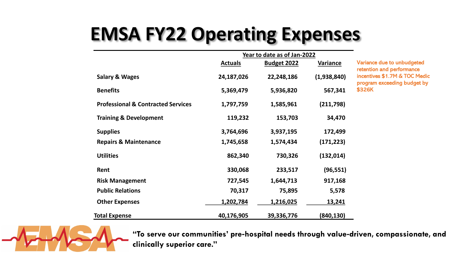## **EMSA FY22 Operating Expenses**

|                                               | Year to date as of Jan-2022 |                    |               |
|-----------------------------------------------|-----------------------------|--------------------|---------------|
|                                               | <b>Actuals</b>              | <b>Budget 2022</b> | Variance      |
| <b>Salary &amp; Wages</b>                     | 24,187,026                  | 22,248,186         | (1,938,840)   |
| <b>Benefits</b>                               | 5,369,479                   | 5,936,820          | 567,341       |
| <b>Professional &amp; Contracted Services</b> | 1,797,759                   | 1,585,961          | (211,798)     |
| <b>Training &amp; Development</b>             | 119,232                     | 153,703            | 34,470        |
| <b>Supplies</b>                               | 3,764,696                   | 3,937,195          | 172,499       |
| <b>Repairs &amp; Maintenance</b>              | 1,745,658                   | 1,574,434          | (171, 223)    |
| <b>Utilities</b>                              | 862,340                     | 730,326            | (132, 014)    |
| Rent                                          | 330,068                     | 233,517            | (96, 551)     |
| <b>Risk Management</b>                        | 727,545                     | 1,644,713          | 917,168       |
| <b>Public Relations</b>                       | 70,317                      | 75,895             | 5,578         |
| <b>Other Expenses</b>                         | 1,202,784                   | 1,216,025          | <u>13,241</u> |
| <b>Total Expense</b>                          | 40,176,905                  | 39,336,776         | (840,130)     |

Variance due to unbudgeted retention and performance incentives \$1.7M & TOC Medic program exceeding budget by \$326K